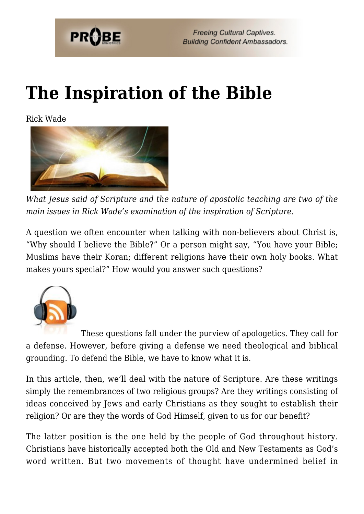

# **[The Inspiration of the Bible](https://probe.org/the-inspiration-of-the-bible/)**

Rick Wade



*What Jesus said of Scripture and the nature of apostolic teaching are two of the main issues in Rick Wade's examination of the inspiration of Scripture.*

A question we often encounter when talking with non-believers about Christ is, "Why should I believe the Bible?" Or a person might say, "You have your Bible; Muslims have their Koran; different religions have their own holy books. What makes yours special?" How would you answer such questions?



These questions fall under the purview of apologetics. They call for a defense. However, before giving a defense we need theological and biblical grounding. To defend the Bible, we have to know what it is.

In this article, then, we'll deal with the nature of Scripture. Are these writings simply the remembrances of two religious groups? Are they writings consisting of ideas conceived by Jews and early Christians as they sought to establish their religion? Or are they the words of God Himself, given to us for our benefit?

The latter position is the one held by the people of God throughout history. Christians have historically accepted both the Old and New Testaments as God's word written. But two movements of thought have undermined belief in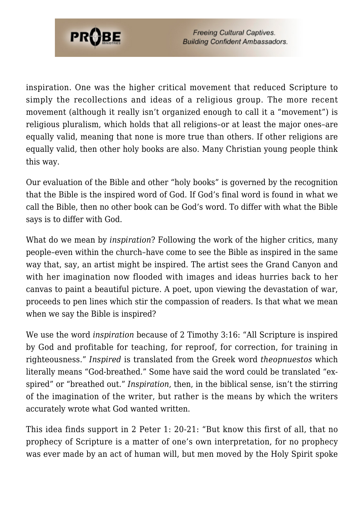

inspiration. One was the higher critical movement that reduced Scripture to simply the recollections and ideas of a religious group. The more recent movement (although it really isn't organized enough to call it a "movement") is religious pluralism, which holds that all religions–or at least the major ones–are equally valid, meaning that none is more true than others. If other religions are equally valid, then other holy books are also. Many Christian young people think this way.

Our evaluation of the Bible and other "holy books" is governed by the recognition that the Bible is the inspired word of God. If God's final word is found in what we call the Bible, then no other book can be God's word. To differ with what the Bible says is to differ with God.

What do we mean by *inspiration*? Following the work of the higher critics, many people–even within the church–have come to see the Bible as inspired in the same way that, say, an artist might be inspired. The artist sees the Grand Canyon and with her imagination now flooded with images and ideas hurries back to her canvas to paint a beautiful picture. A poet, upon viewing the devastation of war, proceeds to pen lines which stir the compassion of readers. Is that what we mean when we say the Bible is inspired?

We use the word *inspiration* because of 2 Timothy 3:16: "All Scripture is inspired by God and profitable for teaching, for reproof, for correction, for training in righteousness." *Inspired* is translated from the Greek word *theopnuestos* which literally means "God-breathed." Some have said the word could be translated "exspired" or "breathed out." *Inspiration*, then, in the biblical sense, isn't the stirring of the imagination of the writer, but rather is the means by which the writers accurately wrote what God wanted written.

This idea finds support in 2 Peter 1: 20-21: "But know this first of all, that no prophecy of Scripture is a matter of one's own interpretation, for no prophecy was ever made by an act of human will, but men moved by the Holy Spirit spoke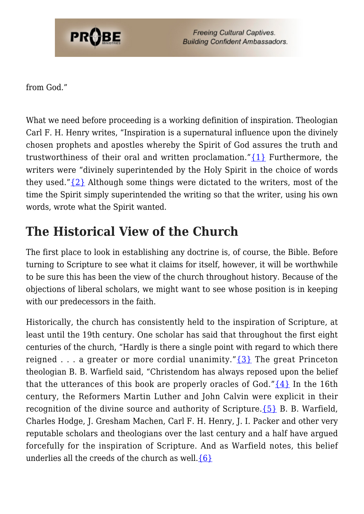

from God."

What we need before proceeding is a working definition of inspiration. Theologian Carl F. H. Henry writes, "Inspiration is a supernatural influence upon the divinely chosen prophets and apostles whereby the Spirit of God assures the truth and trustworthiness of their oral and written proclamation."[{1}](#page-9-0) Furthermore, the writers were "divinely superintended by the Holy Spirit in the choice of words they used." $\{2\}$  Although some things were dictated to the writers, most of the time the Spirit simply superintended the writing so that the writer, using his own words, wrote what the Spirit wanted.

# **The Historical View of the Church**

The first place to look in establishing any doctrine is, of course, the Bible. Before turning to Scripture to see what it claims for itself, however, it will be worthwhile to be sure this has been the view of the church throughout history. Because of the objections of liberal scholars, we might want to see whose position is in keeping with our predecessors in the faith.

Historically, the church has consistently held to the inspiration of Scripture, at least until the 19th century. One scholar has said that throughout the first eight centuries of the church, "Hardly is there a single point with regard to which there reigned . . . a greater or more cordial unanimity." $\{3\}$  The great Princeton theologian B. B. Warfield said, "Christendom has always reposed upon the belief that the utterances of this book are properly oracles of God." $\{4\}$  In the 16th century, the Reformers Martin Luther and John Calvin were explicit in their recognition of the divine source and authority of Scripture.  $\{5\}$  B. B. Warfield, Charles Hodge, J. Gresham Machen, Carl F. H. Henry, J. I. Packer and other very reputable scholars and theologians over the last century and a half have argued forcefully for the inspiration of Scripture. And as Warfield notes, this belief underlies all the creeds of the church as well. $\{6\}$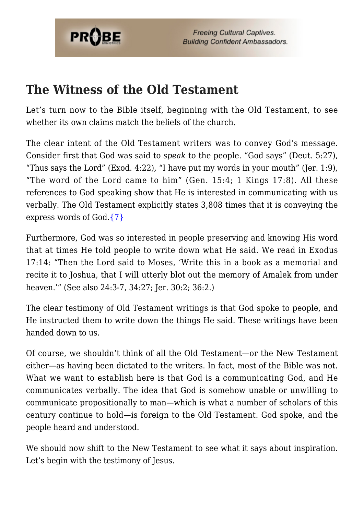

### **The Witness of the Old Testament**

Let's turn now to the Bible itself, beginning with the Old Testament, to see whether its own claims match the beliefs of the church.

The clear intent of the Old Testament writers was to convey God's message. Consider first that God was said to *speak* to the people. "God says" (Deut. 5:27), "Thus says the Lord" (Exod. 4:22), "I have put my words in your mouth" (Jer. 1:9), "The word of the Lord came to him" (Gen. 15:4; 1 Kings 17:8). All these references to God speaking show that He is interested in communicating with us verbally. The Old Testament explicitly states 3,808 times that it is conveying the express words of God[.{7}](#page-10-1)

Furthermore, God was so interested in people preserving and knowing His word that at times He told people to write down what He said. We read in Exodus 17:14: "Then the Lord said to Moses, 'Write this in a book as a memorial and recite it to Joshua, that I will utterly blot out the memory of Amalek from under heaven.'" (See also 24:3-7, 34:27; Jer. 30:2; 36:2.)

The clear testimony of Old Testament writings is that God spoke to people, and He instructed them to write down the things He said. These writings have been handed down to us.

Of course, we shouldn't think of all the Old Testament—or the New Testament either—as having been dictated to the writers. In fact, most of the Bible was not. What we want to establish here is that God is a communicating God, and He communicates verbally. The idea that God is somehow unable or unwilling to communicate propositionally to man—which is what a number of scholars of this century continue to hold—is foreign to the Old Testament. God spoke, and the people heard and understood.

We should now shift to the New Testament to see what it says about inspiration. Let's begin with the testimony of Jesus.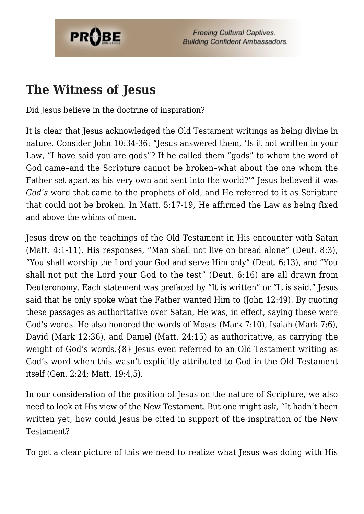

### **The Witness of Jesus**

Did Jesus believe in the doctrine of inspiration?

It is clear that Jesus acknowledged the Old Testament writings as being divine in nature. Consider John 10:34-36: "Jesus answered them, 'Is it not written in your Law, "I have said you are gods"? If he called them "gods" to whom the word of God came–and the Scripture cannot be broken–what about the one whom the Father set apart as his very own and sent into the world?'" Jesus believed it was *God's* word that came to the prophets of old, and He referred to it as Scripture that could not be broken. In Matt. 5:17-19, He affirmed the Law as being fixed and above the whims of men.

Jesus drew on the teachings of the Old Testament in His encounter with Satan (Matt. 4:1-11). His responses, "Man shall not live on bread alone" (Deut. 8:3), "You shall worship the Lord your God and serve Him only" (Deut. 6:13), and "You shall not put the Lord your God to the test" (Deut. 6:16) are all drawn from Deuteronomy. Each statement was prefaced by "It is written" or "It is said." Jesus said that he only spoke what the Father wanted Him to (John 12:49). By quoting these passages as authoritative over Satan, He was, in effect, saying these were God's words. He also honored the words of Moses (Mark 7:10), Isaiah (Mark 7:6), David (Mark 12:36), and Daniel (Matt. 24:15) as authoritative, as carrying the weight of God's words.{8} Jesus even referred to an Old Testament writing as God's word when this wasn't explicitly attributed to God in the Old Testament itself (Gen. 2:24; Matt. 19:4,5).

In our consideration of the position of Jesus on the nature of Scripture, we also need to look at His view of the New Testament. But one might ask, "It hadn't been written yet, how could Jesus be cited in support of the inspiration of the New Testament?

To get a clear picture of this we need to realize what Jesus was doing with His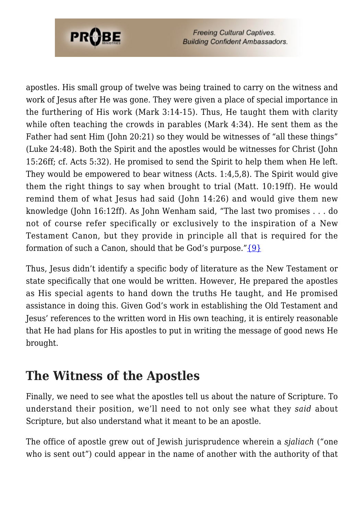

apostles. His small group of twelve was being trained to carry on the witness and work of Jesus after He was gone. They were given a place of special importance in the furthering of His work (Mark 3:14-15). Thus, He taught them with clarity while often teaching the crowds in parables (Mark 4:34). He sent them as the Father had sent Him (John 20:21) so they would be witnesses of "all these things" (Luke 24:48). Both the Spirit and the apostles would be witnesses for Christ (John 15:26ff; cf. Acts 5:32). He promised to send the Spirit to help them when He left. They would be empowered to bear witness (Acts. 1:4,5,8). The Spirit would give them the right things to say when brought to trial (Matt. 10:19ff). He would remind them of what Jesus had said (John 14:26) and would give them new knowledge (John 16:12ff). As John Wenham said, "The last two promises . . . do not of course refer specifically or exclusively to the inspiration of a New Testament Canon, but they provide in principle all that is required for the formation of such a Canon, should that be God's purpose." $\{9\}$ 

Thus, Jesus didn't identify a specific body of literature as the New Testament or state specifically that one would be written. However, He prepared the apostles as His special agents to hand down the truths He taught, and He promised assistance in doing this. Given God's work in establishing the Old Testament and Jesus' references to the written word in His own teaching, it is entirely reasonable that He had plans for His apostles to put in writing the message of good news He brought.

# **The Witness of the Apostles**

Finally, we need to see what the apostles tell us about the nature of Scripture. To understand their position, we'll need to not only see what they *said* about Scripture, but also understand what it meant to be an apostle.

The office of apostle grew out of Jewish jurisprudence wherein a *sjaliach* ("one who is sent out") could appear in the name of another with the authority of that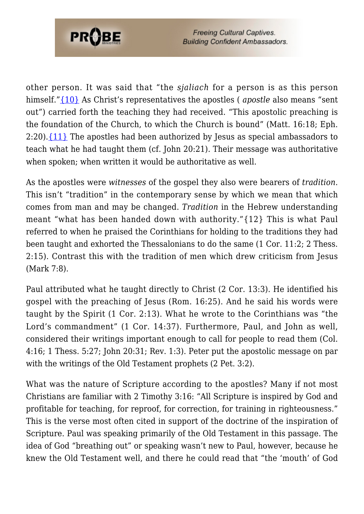

other person. It was said that "the *sjaliach* for a person is as this person himself.["{10}](#page-10-3) As Christ's representatives the apostles ( *apostle* also means "sent out") carried forth the teaching they had received. "This apostolic preaching is the foundation of the Church, to which the Church is bound" (Matt. 16:18; Eph. 2:20).[{11}](#page-10-4) The apostles had been authorized by Jesus as special ambassadors to teach what he had taught them (cf. John 20:21). Their message was authoritative when spoken; when written it would be authoritative as well.

As the apostles were *witnesses* of the gospel they also were bearers of *tradition*. This isn't "tradition" in the contemporary sense by which we mean that which comes from man and may be changed. *Tradition* in the Hebrew understanding meant "what has been handed down with authority."{12} This is what Paul referred to when he praised the Corinthians for holding to the traditions they had been taught and exhorted the Thessalonians to do the same (1 Cor. 11:2; 2 Thess. 2:15). Contrast this with the tradition of men which drew criticism from Jesus (Mark 7:8).

Paul attributed what he taught directly to Christ (2 Cor. 13:3). He identified his gospel with the preaching of Jesus (Rom. 16:25). And he said his words were taught by the Spirit (1 Cor. 2:13). What he wrote to the Corinthians was "the Lord's commandment" (1 Cor. 14:37). Furthermore, Paul, and John as well, considered their writings important enough to call for people to read them (Col. 4:16; 1 Thess. 5:27; John 20:31; Rev. 1:3). Peter put the apostolic message on par with the writings of the Old Testament prophets (2 Pet. 3:2).

What was the nature of Scripture according to the apostles? Many if not most Christians are familiar with 2 Timothy 3:16: "All Scripture is inspired by God and profitable for teaching, for reproof, for correction, for training in righteousness." This is the verse most often cited in support of the doctrine of the inspiration of Scripture. Paul was speaking primarily of the Old Testament in this passage. The idea of God "breathing out" or speaking wasn't new to Paul, however, because he knew the Old Testament well, and there he could read that "the 'mouth' of God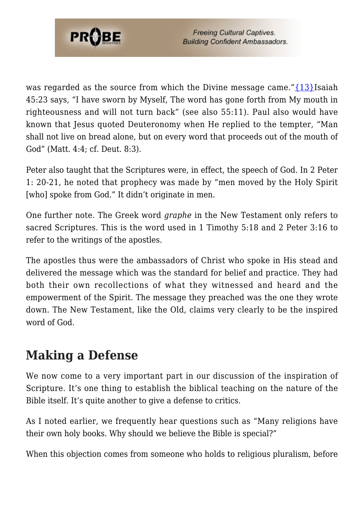

was regarded as the source from which the Divine message came." $\{13\}$ Isaiah 45:23 says, "I have sworn by Myself, The word has gone forth from My mouth in righteousness and will not turn back" (see also 55:11). Paul also would have known that Jesus quoted Deuteronomy when He replied to the tempter, "Man shall not live on bread alone, but on every word that proceeds out of the mouth of God" (Matt. 4:4; cf. Deut. 8:3).

Peter also taught that the Scriptures were, in effect, the speech of God. In 2 Peter 1: 20-21, he noted that prophecy was made by "men moved by the Holy Spirit [who] spoke from God." It didn't originate in men.

One further note. The Greek word *graphe* in the New Testament only refers to sacred Scriptures. This is the word used in 1 Timothy 5:18 and 2 Peter 3:16 to refer to the writings of the apostles.

The apostles thus were the ambassadors of Christ who spoke in His stead and delivered the message which was the standard for belief and practice. They had both their own recollections of what they witnessed and heard and the empowerment of the Spirit. The message they preached was the one they wrote down. The New Testament, like the Old, claims very clearly to be the inspired word of God.

# **Making a Defense**

We now come to a very important part in our discussion of the inspiration of Scripture. It's one thing to establish the biblical teaching on the nature of the Bible itself. It's quite another to give a defense to critics.

As I noted earlier, we frequently hear questions such as "Many religions have their own holy books. Why should we believe the Bible is special?"

When this objection comes from someone who holds to religious pluralism, before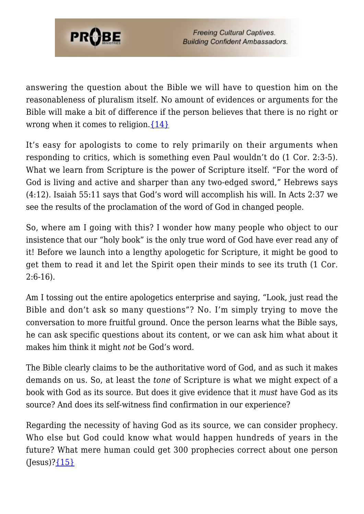

answering the question about the Bible we will have to question him on the reasonableness of pluralism itself. No amount of evidences or arguments for the Bible will make a bit of difference if the person believes that there is no right or wrong when it comes to religion. $\{14\}$ 

It's easy for apologists to come to rely primarily on their arguments when responding to critics, which is something even Paul wouldn't do (1 Cor. 2:3-5). What we learn from Scripture is the power of Scripture itself. "For the word of God is living and active and sharper than any two-edged sword," Hebrews says (4:12). Isaiah 55:11 says that God's word will accomplish his will. In Acts 2:37 we see the results of the proclamation of the word of God in changed people.

So, where am I going with this? I wonder how many people who object to our insistence that our "holy book" is the only true word of God have ever read any of it! Before we launch into a lengthy apologetic for Scripture, it might be good to get them to read it and let the Spirit open their minds to see its truth (1 Cor.  $2:6-16$ ).

Am I tossing out the entire apologetics enterprise and saying, "Look, just read the Bible and don't ask so many questions"? No. I'm simply trying to move the conversation to more fruitful ground. Once the person learns what the Bible says, he can ask specific questions about its content, or we can ask him what about it makes him think it might *not* be God's word.

The Bible clearly claims to be the authoritative word of God, and as such it makes demands on us. So, at least the *tone* of Scripture is what we might expect of a book with God as its source. But does it give evidence that it *must* have God as its source? And does its self-witness find confirmation in our experience?

Regarding the necessity of having God as its source, we can consider prophecy. Who else but God could know what would happen hundreds of years in the future? What mere human could get 300 prophecies correct about one person  $(Iesus)?$   $I5$ }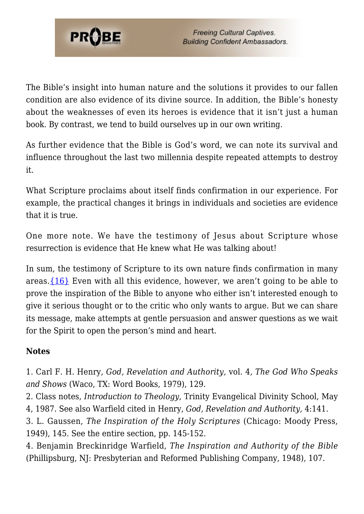

The Bible's insight into human nature and the solutions it provides to our fallen condition are also evidence of its divine source. In addition, the Bible's honesty about the weaknesses of even its heroes is evidence that it isn't just a human book. By contrast, we tend to build ourselves up in our own writing.

As further evidence that the Bible is God's word, we can note its survival and influence throughout the last two millennia despite repeated attempts to destroy it.

What Scripture proclaims about itself finds confirmation in our experience. For example, the practical changes it brings in individuals and societies are evidence that it is true.

One more note. We have the testimony of Jesus about Scripture whose resurrection is evidence that He knew what He was talking about!

In sum, the testimony of Scripture to its own nature finds confirmation in many areas. $\{16\}$  Even with all this evidence, however, we aren't going to be able to prove the inspiration of the Bible to anyone who either isn't interested enough to give it serious thought or to the critic who only wants to argue. But we can share its message, make attempts at gentle persuasion and answer questions as we wait for the Spirit to open the person's mind and heart.

#### **Notes**

<span id="page-9-0"></span>1. Carl F. H. Henry, *God, Revelation and Authority,* vol. 4*, The God Who Speaks and Shows* (Waco, TX: Word Books, 1979), 129.

<span id="page-9-1"></span>2. Class notes, *Introduction to Theology*, Trinity Evangelical Divinity School, May

4, 1987. See also Warfield cited in Henry, *God, Revelation and Authority,* 4:141.

<span id="page-9-2"></span>3. L. Gaussen, *The Inspiration of the Holy Scriptures* (Chicago: Moody Press, 1949), 145. See the entire section, pp. 145-152.

<span id="page-9-4"></span><span id="page-9-3"></span>4. Benjamin Breckinridge Warfield, *The Inspiration and Authority of the Bible* (Phillipsburg, NJ: Presbyterian and Reformed Publishing Company, 1948), 107.